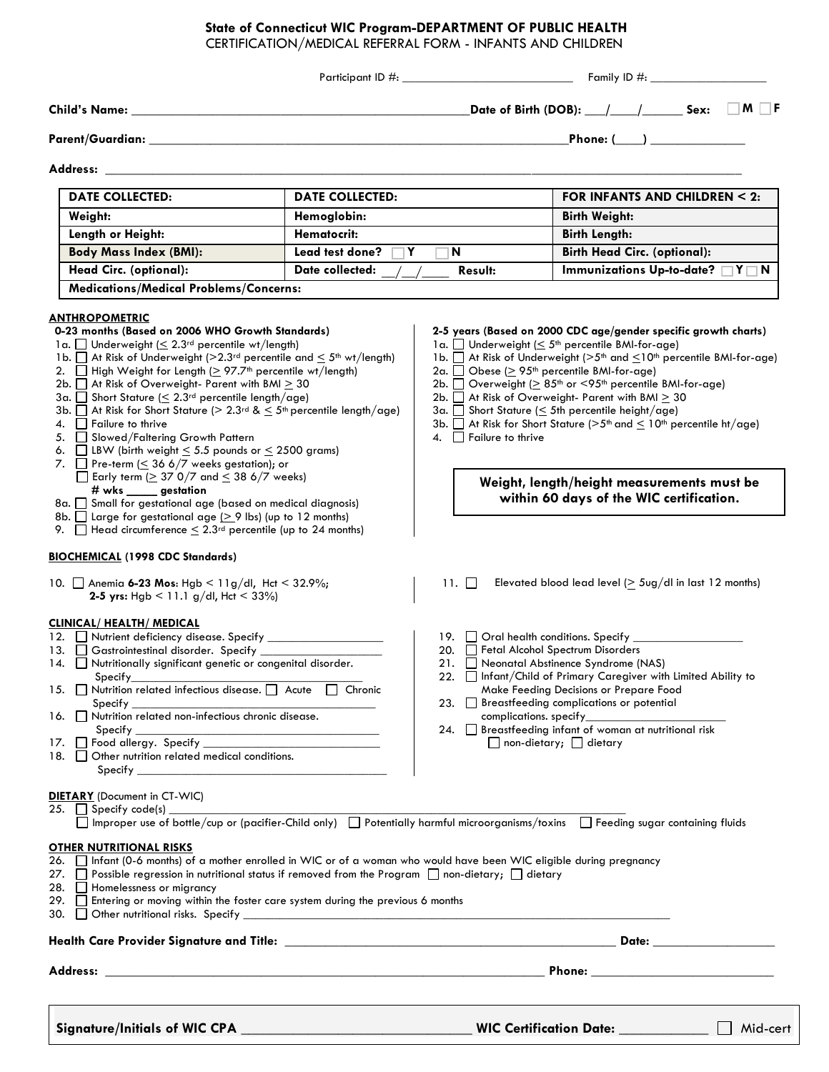## **State of Connecticut WIC Program-DEPARTMENT OF PUBLIC HEALTH**

CERTIFICATION/MEDICAL REFERRAL FORM - INFANTS AND CHILDREN

| Address:<br><b>DATE COLLECTED:</b><br>Weight:<br>Length or Height:<br><b>Body Mass Index (BMI):</b><br><b>Head Circ. (optional):</b><br><b>Medications/Medical Problems/Concerns:</b><br><u>ANTHROPOMETRIC</u><br>0-23 months (Based on 2006 WHO Growth Standards)                                                                                                                                                                                                                                                                                                                                                                                                                                                                                                                                                                                                                                                                                                                                                                                                   | <b>DATE COLLECTED:</b><br>Hemoglobin:<br>Hematocrit:<br>Lead test done?<br>Y<br>Date collected: | N.                                                                                                | Phone: $(\_\_)$<br>FOR INFANTS AND CHILDREN < 2:<br><b>Birth Weight:</b><br><b>Birth Length:</b>                                                                                                                                                                                                                                                                                                                                                                                                                                                                                                                                                        |
|----------------------------------------------------------------------------------------------------------------------------------------------------------------------------------------------------------------------------------------------------------------------------------------------------------------------------------------------------------------------------------------------------------------------------------------------------------------------------------------------------------------------------------------------------------------------------------------------------------------------------------------------------------------------------------------------------------------------------------------------------------------------------------------------------------------------------------------------------------------------------------------------------------------------------------------------------------------------------------------------------------------------------------------------------------------------|-------------------------------------------------------------------------------------------------|---------------------------------------------------------------------------------------------------|---------------------------------------------------------------------------------------------------------------------------------------------------------------------------------------------------------------------------------------------------------------------------------------------------------------------------------------------------------------------------------------------------------------------------------------------------------------------------------------------------------------------------------------------------------------------------------------------------------------------------------------------------------|
|                                                                                                                                                                                                                                                                                                                                                                                                                                                                                                                                                                                                                                                                                                                                                                                                                                                                                                                                                                                                                                                                      |                                                                                                 |                                                                                                   |                                                                                                                                                                                                                                                                                                                                                                                                                                                                                                                                                                                                                                                         |
|                                                                                                                                                                                                                                                                                                                                                                                                                                                                                                                                                                                                                                                                                                                                                                                                                                                                                                                                                                                                                                                                      |                                                                                                 |                                                                                                   |                                                                                                                                                                                                                                                                                                                                                                                                                                                                                                                                                                                                                                                         |
|                                                                                                                                                                                                                                                                                                                                                                                                                                                                                                                                                                                                                                                                                                                                                                                                                                                                                                                                                                                                                                                                      |                                                                                                 |                                                                                                   |                                                                                                                                                                                                                                                                                                                                                                                                                                                                                                                                                                                                                                                         |
|                                                                                                                                                                                                                                                                                                                                                                                                                                                                                                                                                                                                                                                                                                                                                                                                                                                                                                                                                                                                                                                                      |                                                                                                 |                                                                                                   |                                                                                                                                                                                                                                                                                                                                                                                                                                                                                                                                                                                                                                                         |
|                                                                                                                                                                                                                                                                                                                                                                                                                                                                                                                                                                                                                                                                                                                                                                                                                                                                                                                                                                                                                                                                      |                                                                                                 |                                                                                                   |                                                                                                                                                                                                                                                                                                                                                                                                                                                                                                                                                                                                                                                         |
|                                                                                                                                                                                                                                                                                                                                                                                                                                                                                                                                                                                                                                                                                                                                                                                                                                                                                                                                                                                                                                                                      |                                                                                                 |                                                                                                   |                                                                                                                                                                                                                                                                                                                                                                                                                                                                                                                                                                                                                                                         |
|                                                                                                                                                                                                                                                                                                                                                                                                                                                                                                                                                                                                                                                                                                                                                                                                                                                                                                                                                                                                                                                                      |                                                                                                 |                                                                                                   | <b>Birth Head Circ. (optional):</b>                                                                                                                                                                                                                                                                                                                                                                                                                                                                                                                                                                                                                     |
|                                                                                                                                                                                                                                                                                                                                                                                                                                                                                                                                                                                                                                                                                                                                                                                                                                                                                                                                                                                                                                                                      |                                                                                                 | Result:                                                                                           | Immunizations Up-to-date? $\Box Y \Box N$                                                                                                                                                                                                                                                                                                                                                                                                                                                                                                                                                                                                               |
|                                                                                                                                                                                                                                                                                                                                                                                                                                                                                                                                                                                                                                                                                                                                                                                                                                                                                                                                                                                                                                                                      |                                                                                                 |                                                                                                   |                                                                                                                                                                                                                                                                                                                                                                                                                                                                                                                                                                                                                                                         |
| 1a. Underweight $( \leq 2.3)^{rd}$ percentile wt/length)<br>1b. $\Box$ At Risk of Underweight (>2.3rd percentile and $\leq$ 5 <sup>th</sup> wt/length)<br>2. $\Box$ High Weight for Length ( $\geq$ 97.7 <sup>th</sup> percentile wt/length)<br>2b. $\Box$ At Risk of Overweight- Parent with BMI $\geq$ 30<br>3a. $\Box$ Short Stature ( $\leq$ 2.3 <sup>rd</sup> percentile length/age)<br>3b. $\Box$ At Risk for Short Stature ( $> 2.3$ <sup>rd</sup> & $\leq 5$ <sup>th</sup> percentile length/age)<br>4.     Failure to thrive<br>5. Slowed/Faltering Growth Pattern<br>6. $\Box$ LBW (birth weight $\leq$ 5.5 pounds or $\leq$ 2500 grams)<br>7. $\Box$ Pre-term ( $\leq$ 36 6/7 weeks gestation); or<br>$\Box$ Early term ( $\geq$ 37 0/7 and $\leq$ 38 6/7 weeks)<br># wks _____ gestation<br>8a. Small for gestational age (based on medical diagnosis)<br>8b. $\Box$ Large for gestational age ( $\geq$ 9 lbs) (up to 12 months)<br>9. $\Box$ Head circumference $\leq 2.3^{rd}$ percentile (up to 24 months)<br><b>BIOCHEMICAL (1998 CDC Standards)</b> |                                                                                                 | 2a. $\Box$ Obese ( $\geq$ 95 <sup>th</sup> percentile BMI-for-age)<br>4. $\Box$ Failure to thrive | 2-5 years (Based on 2000 CDC age/gender specific growth charts)<br>1 a. $\Box$ Underweight ( $\leq$ 5 <sup>th</sup> percentile BMI-for-age)<br>1b. At Risk of Underweight (>5 <sup>th</sup> and <10 <sup>th</sup> percentile BMI-for-age)<br>2b. $\Box$ Overweight ( $\geq$ 85 <sup>th</sup> or <95 <sup>th</sup> percentile BMI-for-age)<br>2b. $\Box$ At Risk of Overweight- Parent with BMI $\geq$ 30<br>$3a.$ Short Stature (< 5th percentile height/age)<br>3b. $\Box$ At Risk for Short Stature ( $>5th$ and $\leq$ 10 <sup>th</sup> percentile ht/age)<br>Weight, length/height measurements must be<br>within 60 days of the WIC certification. |
| 10. Anemia 6-23 Mos: Hgb < 11g/dl, Hct < 32.9%;<br>2-5 yrs: Hgb < 11.1 g/dl, Hct < 33%)                                                                                                                                                                                                                                                                                                                                                                                                                                                                                                                                                                                                                                                                                                                                                                                                                                                                                                                                                                              |                                                                                                 | $11. \perp \perp$                                                                                 | Elevated blood lead level $($ 5ug/dl in last 12 months)                                                                                                                                                                                                                                                                                                                                                                                                                                                                                                                                                                                                 |
| <b>CLINICAL/ HEALTH/ MEDICAL</b><br>13. Gastrointestinal disorder. Specify ______________<br>14. Nutritionally significant genetic or congenital disorder.<br>Specify_<br>15. Nutrition related infectious disease. Acute   Chronic<br>Specify ________<br>16. $\Box$ Nutrition related non-infectious chronic disease.<br>Specify<br>18. Other nutrition related medical conditions.<br>Specify <b>Specify</b> the state of the state of the state of the state of the state of the state of the state of the state of the state of the state of the state of the state of the state of the state of the state of the state                                                                                                                                                                                                                                                                                                                                                                                                                                         |                                                                                                 | 19. $\Box$ Oral health conditions. Specify $\Box$<br>20. Fetal Alcohol Spectrum Disorders         | 21. Neonatal Abstinence Syndrome (NAS)<br>22. Infant/Child of Primary Caregiver with Limited Ability to<br>Make Feeding Decisions or Prepare Food<br>23. Breastfeeding complications or potential<br>complications. specify_____________<br>24. Breastfeeding infant of woman at nutritional risk<br>$\Box$ non-dietary; $\Box$ dietary                                                                                                                                                                                                                                                                                                                 |
| <b>DIETARY</b> (Document in CT-WIC)<br>$25.$ Specify code(s)<br>Improper use of bottle/cup or (pacifier-Child only) Potentially harmful microorganisms/toxins Feeding sugar containing fluids                                                                                                                                                                                                                                                                                                                                                                                                                                                                                                                                                                                                                                                                                                                                                                                                                                                                        |                                                                                                 |                                                                                                   |                                                                                                                                                                                                                                                                                                                                                                                                                                                                                                                                                                                                                                                         |
| <b>OTHER NUTRITIONAL RISKS</b><br>26. □ Infant (0-6 months) of a mother enrolled in WIC or of a woman who would have been WIC eligible during pregnancy<br>27. $\Box$ Possible regression in nutritional status if removed from the Program $\Box$ non-dietary; $\Box$ dietary<br>28. Homelessness or migrancy<br>29. Entering or moving within the foster care system during the previous 6 months                                                                                                                                                                                                                                                                                                                                                                                                                                                                                                                                                                                                                                                                  |                                                                                                 |                                                                                                   |                                                                                                                                                                                                                                                                                                                                                                                                                                                                                                                                                                                                                                                         |
|                                                                                                                                                                                                                                                                                                                                                                                                                                                                                                                                                                                                                                                                                                                                                                                                                                                                                                                                                                                                                                                                      |                                                                                                 |                                                                                                   |                                                                                                                                                                                                                                                                                                                                                                                                                                                                                                                                                                                                                                                         |
|                                                                                                                                                                                                                                                                                                                                                                                                                                                                                                                                                                                                                                                                                                                                                                                                                                                                                                                                                                                                                                                                      |                                                                                                 |                                                                                                   |                                                                                                                                                                                                                                                                                                                                                                                                                                                                                                                                                                                                                                                         |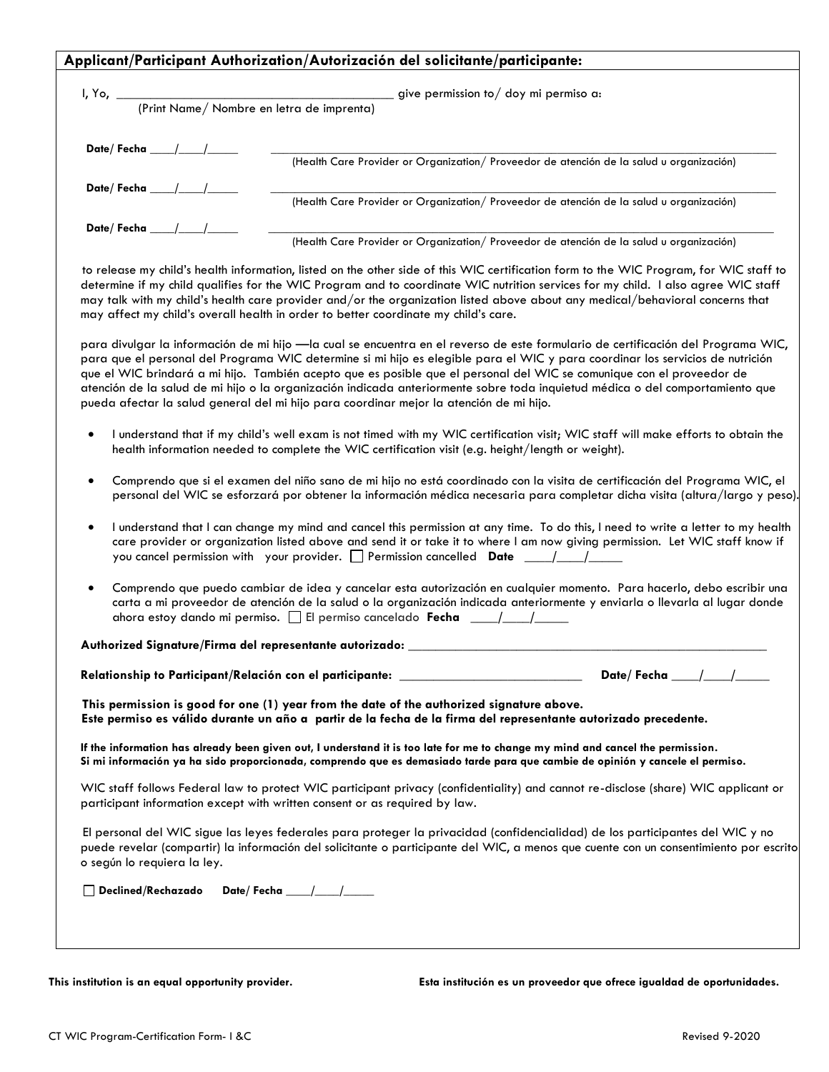| $I, Yo, \_\_$              | $P$ (Print Name/Nombre en letra de imprenta) give permission to/doy mi permiso a:                                                                                                                                                                                                                                                                                                                                                                                                                                             |
|----------------------------|-------------------------------------------------------------------------------------------------------------------------------------------------------------------------------------------------------------------------------------------------------------------------------------------------------------------------------------------------------------------------------------------------------------------------------------------------------------------------------------------------------------------------------|
| Date/Fecha $\qquad \qquad$ |                                                                                                                                                                                                                                                                                                                                                                                                                                                                                                                               |
|                            | (Health Care Provider or Organization/ Proveedor de atención de la salud u organización)                                                                                                                                                                                                                                                                                                                                                                                                                                      |
| Date/Fecha__/              | (Health Care Provider or Organization/ Proveedor de atención de la salud u organización)                                                                                                                                                                                                                                                                                                                                                                                                                                      |
| Date/Fecha ___/            | (Health Care Provider or Organization/ Proveedor de atención de la salud u organización)                                                                                                                                                                                                                                                                                                                                                                                                                                      |
|                            | determine if my child qualifies for the WIC Program and to coordinate WIC nutrition services for my child. I also agree WIC staff<br>may talk with my child's health care provider and/or the organization listed above about any medical/behavioral concerns that<br>may affect my child's overall health in order to better coordinate my child's care.                                                                                                                                                                     |
|                            | para divulgar la información de mi hijo -la cual se encuentra en el reverso de este formulario de certificación del Programa WIC,<br>para que el personal del Programa WIC determine si mi hijo es elegible para el WIC y para coordinar los servicios de nutrición<br>que el WIC brindará a mi hijo. También acepto que es posible que el personal del WIC se comunique con el proveedor de<br>atención de la salud de mi hijo o la organización indicada anteriormente sobre toda inquietud médica o del comportamiento que |
| $\bullet$                  | pueda afectar la salud general del mi hijo para coordinar mejor la atención de mi hijo.<br>I understand that if my child's well exam is not timed with my WIC certification visit; WIC staff will make efforts to obtain the<br>health information needed to complete the WIC certification visit (e.g. height/length or weight).                                                                                                                                                                                             |
| $\bullet$                  | Comprendo que si el examen del niño sano de mi hijo no está coordinado con la visita de certificación del Programa WIC, el<br>personal del WIC se esforzará por obtener la información médica necesaria para completar dicha visita (altura/largo y peso).                                                                                                                                                                                                                                                                    |
| $\bullet$                  | I understand that I can change my mind and cancel this permission at any time. To do this, I need to write a letter to my health<br>care provider or organization listed above and send it or take it to where I am now giving permission. Let WIC staff know if<br>you cancel permission with your provider. $\Box$ Permission cancelled <b>Date</b> ____/_____/_____                                                                                                                                                        |

**Relationship to Participant/Relación con el participante:** \_\_\_\_\_\_\_\_\_\_\_\_\_\_\_\_\_\_\_\_\_\_\_\_\_\_\_ **Date/ Fecha \_\_\_\_/\_\_\_\_/\_\_\_\_\_** 

**This permission is good for one (1) year from the date of the authorized signature above. Este permiso es válido durante un año a partir de la fecha de la firma del representante autorizado precedente.**

**If the information has already been given out, I understand it is too late for me to change my mind and cancel the permission. Si mi información ya ha sido proporcionada, comprendo que es demasiado tarde para que cambie de opinión y cancele el permiso.**

WIC staff follows Federal law to protect WIC participant privacy (confidentiality) and cannot re-disclose (share) WIC applicant or participant information except with written consent or as required by law.

El personal del WIC sigue las leyes federales para proteger la privacidad (confidencialidad) de los participantes del WIC y no puede revelar (compartir) la información del solicitante o participante del WIC, a menos que cuente con un consentimiento por escrito o según lo requiera la ley.

**Declined/Rechazado Date/ Fecha \_\_\_\_/\_\_\_\_/\_\_\_\_\_**